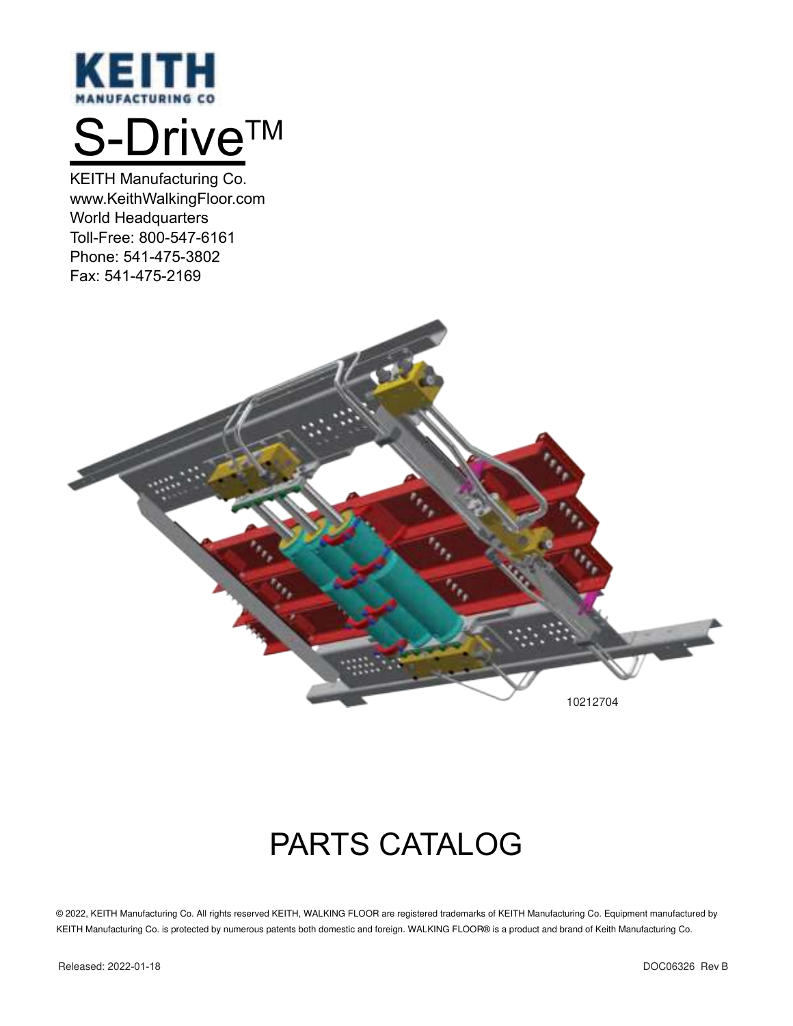

# S-Drive™

KEITH Manufacturing Co. www.KeithWalkingFloor.com World Headquarters Toll-Free: 800-547-6161 Phone: 541-475-3802 Fax: 541-475-2169



## PARTS CATALOG

© 2022, KEITH Manufacturing Co. All rights reserved KEITH, WALKING FLOOR are registered trademarks of KEITH Manufacturing Co. Equipment manufactured by KEITH Manufacturing Co. is protected by numerous patents both domestic and foreign. WALKING FLOOR® is a product and brand of Keith Manufacturing Co.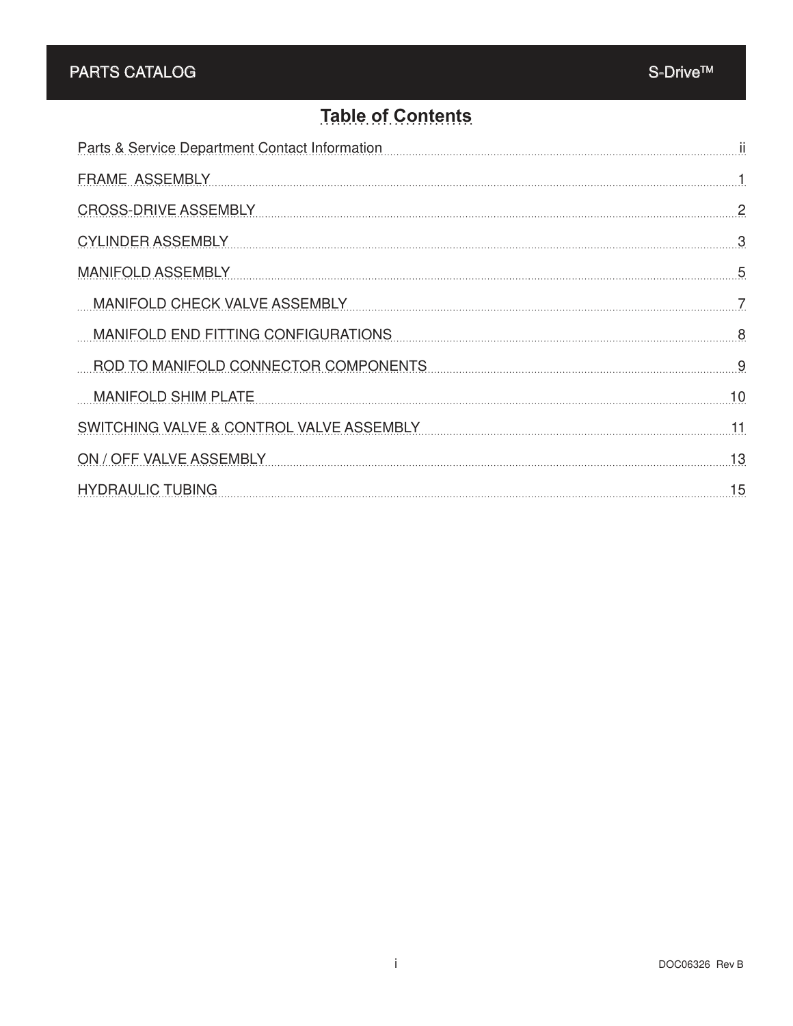#### **Table of Contents**

| Parts & Service Department Contact Information | ji             |
|------------------------------------------------|----------------|
| <b>FRAME ASSEMBLY</b>                          | 1.             |
| <b>CROSS-DRIVE ASSEMBLY</b>                    | $\overline{2}$ |
| <b>CYLINDER ASSEMBLY</b>                       | 3              |
| <b>MANIFOLD ASSEMBLY</b>                       | 5              |
| <b>MANIFOLD CHECK VALVE ASSEMBLY</b>           | 7              |
| MANIFOLD END FITTING CONFIGURATIONS            | 8              |
| ROD TO MANIFOLD CONNECTOR COMPONENTS           | 9              |
| <b>MANIFOLD SHIM PLATE</b>                     | 10             |
| SWITCHING VALVE & CONTROL VALVE ASSEMBLY       | 11             |
| ON / OFF VALVE ASSEMBLY                        | 13             |
| <b>HYDRAULIC TUBING</b>                        | 15             |
|                                                |                |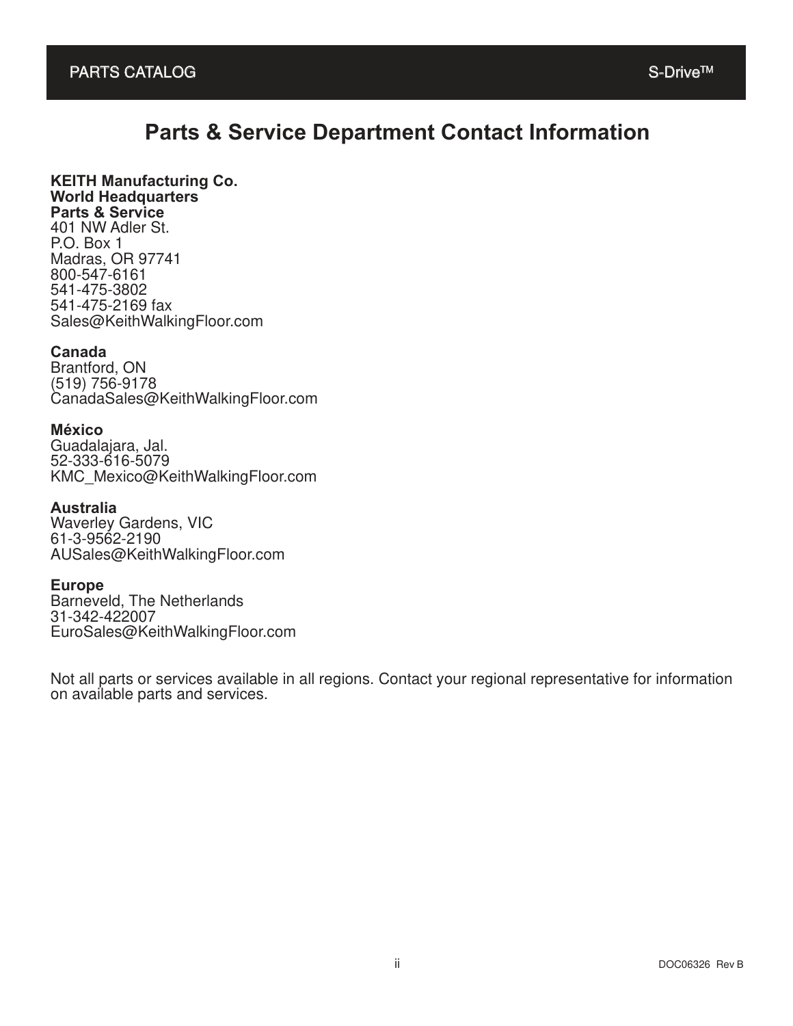#### **Parts & Service Department Contact Information**

#### **KEITH Manufacturing Co. World Headquarters Parts & Service**

401 NW Adler St. P.O. Box 1 Madras, OR 97741 800-547-6161 541-475-3802 541-475-2169 fax Sales@KeithWalkingFloor.com

#### **Canada**

Brantford, ON (519) 756-9178 CanadaSales@KeithWalkingFloor.com

#### **México**

Guadalajara, Jal. 52-333-616-5079 KMC\_Mexico@KeithWalkingFloor.com

#### **Australia**

Waverley Gardens, VIC 61-3-9562-2190 AUSales@KeithWalkingFloor.com

#### **Europe**

Barneveld, The Netherlands 31-342-422007 EuroSales@KeithWalkingFloor.com

Not all parts or services available in all regions. Contact your regional representative for information on available parts and services.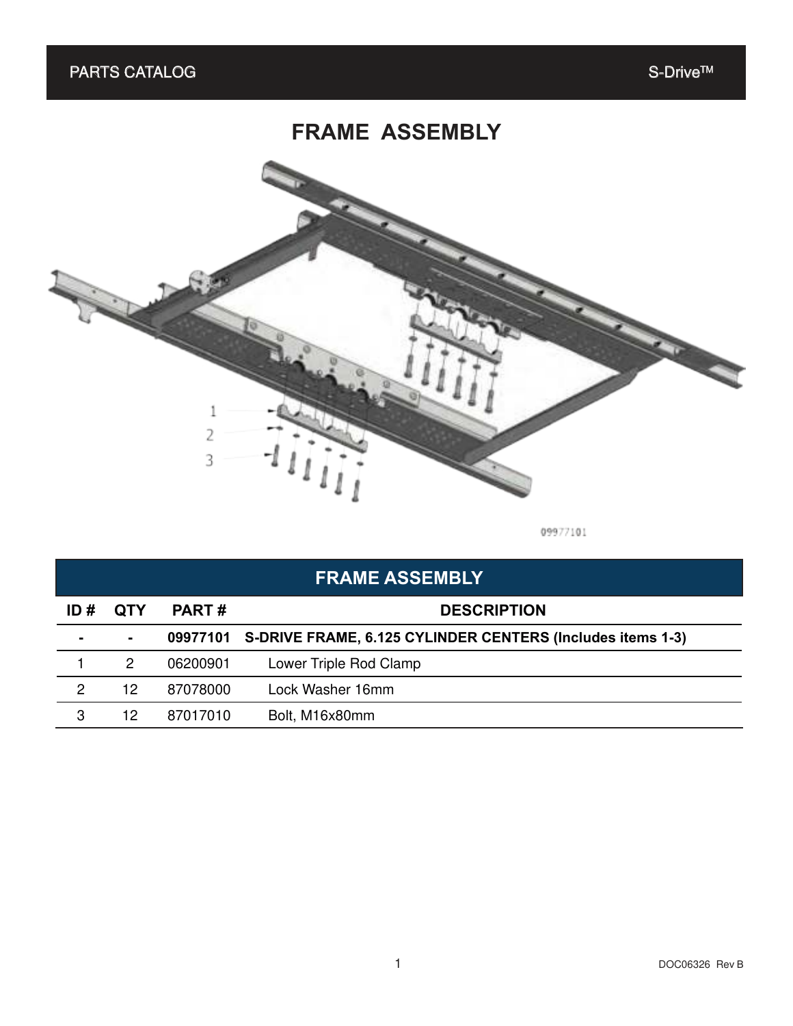### **FRAME ASSEMBLY**



09977101

| <b>FRAME ASSEMBLY</b> |                |              |                                                            |  |  |
|-----------------------|----------------|--------------|------------------------------------------------------------|--|--|
| ID#                   | <b>QTY</b>     | <b>PART#</b> | <b>DESCRIPTION</b>                                         |  |  |
|                       | $\blacksquare$ | 09977101     | S-DRIVE FRAME, 6.125 CYLINDER CENTERS (Includes items 1-3) |  |  |
|                       | 2              | 06200901     | Lower Triple Rod Clamp                                     |  |  |
| 2                     | 12             | 87078000     | Lock Washer 16mm                                           |  |  |
| 3                     | 12             | 87017010     | Bolt, M16x80mm                                             |  |  |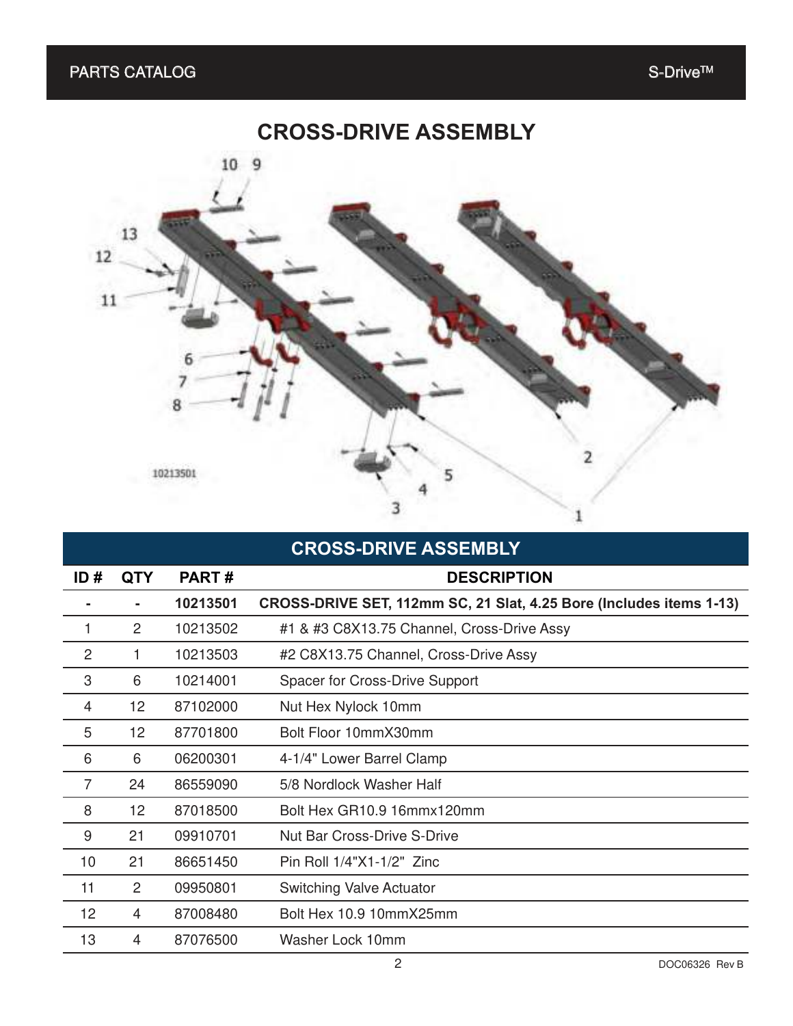#### **CROSS-DRIVE ASSEMBLY**



#### **CROSS-DRIVE ASSEMBLY**

| ID#            | <b>QTY</b>      | PART#    | <b>DESCRIPTION</b>                                                  |
|----------------|-----------------|----------|---------------------------------------------------------------------|
|                |                 | 10213501 | CROSS-DRIVE SET, 112mm SC, 21 Slat, 4.25 Bore (Includes items 1-13) |
| 1              | 2               | 10213502 | #1 & #3 C8X13.75 Channel, Cross-Drive Assy                          |
| $\overline{c}$ |                 | 10213503 | #2 C8X13.75 Channel, Cross-Drive Assy                               |
| 3              | 6               | 10214001 | Spacer for Cross-Drive Support                                      |
| 4              | 12 <sub>2</sub> | 87102000 | Nut Hex Nylock 10mm                                                 |
| 5              | 12 <sub>2</sub> | 87701800 | Bolt Floor 10mmX30mm                                                |
| 6              | 6               | 06200301 | 4-1/4" Lower Barrel Clamp                                           |
| $\overline{7}$ | 24              | 86559090 | 5/8 Nordlock Washer Half                                            |
| 8              | 12 <sub>2</sub> | 87018500 | Bolt Hex GR10.9 16mmx120mm                                          |
| 9              | 21              | 09910701 | <b>Nut Bar Cross-Drive S-Drive</b>                                  |
| 10             | 21              | 86651450 | Pin Roll 1/4"X1-1/2" Zinc                                           |
| 11             | 2               | 09950801 | Switching Valve Actuator                                            |
| 12             | 4               | 87008480 | Bolt Hex 10.9 10mmX25mm                                             |
| 13             | 4               | 87076500 | Washer Lock 10mm                                                    |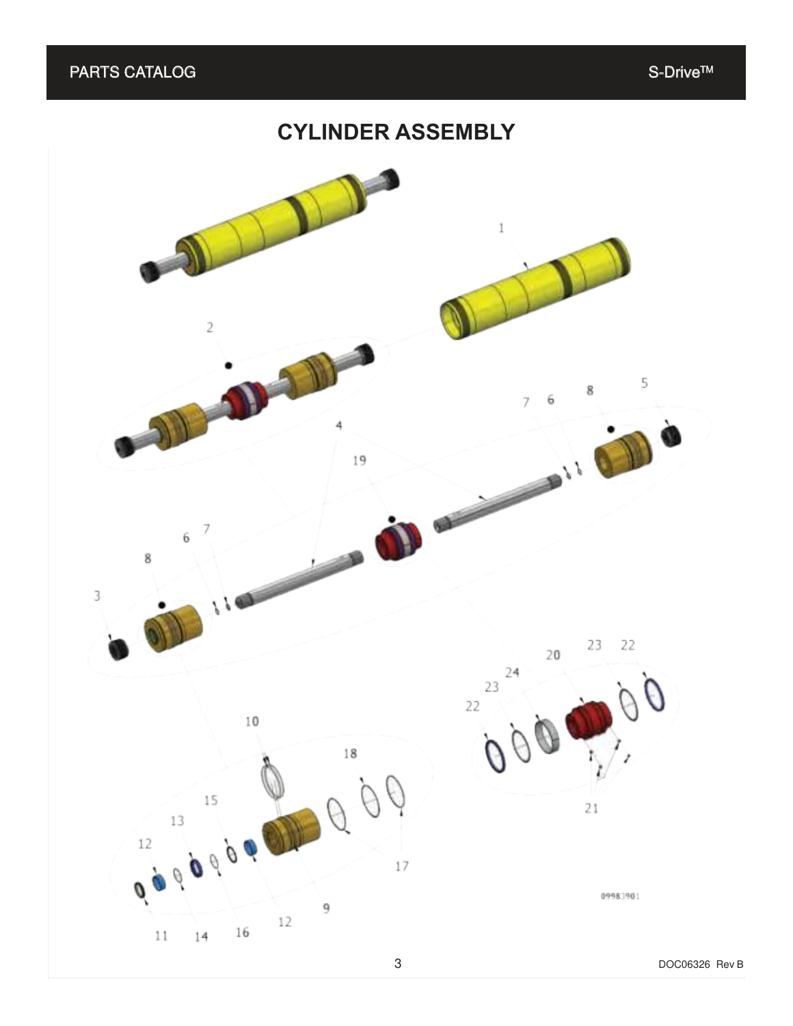#### **CYLINDER ASSEMBLY**

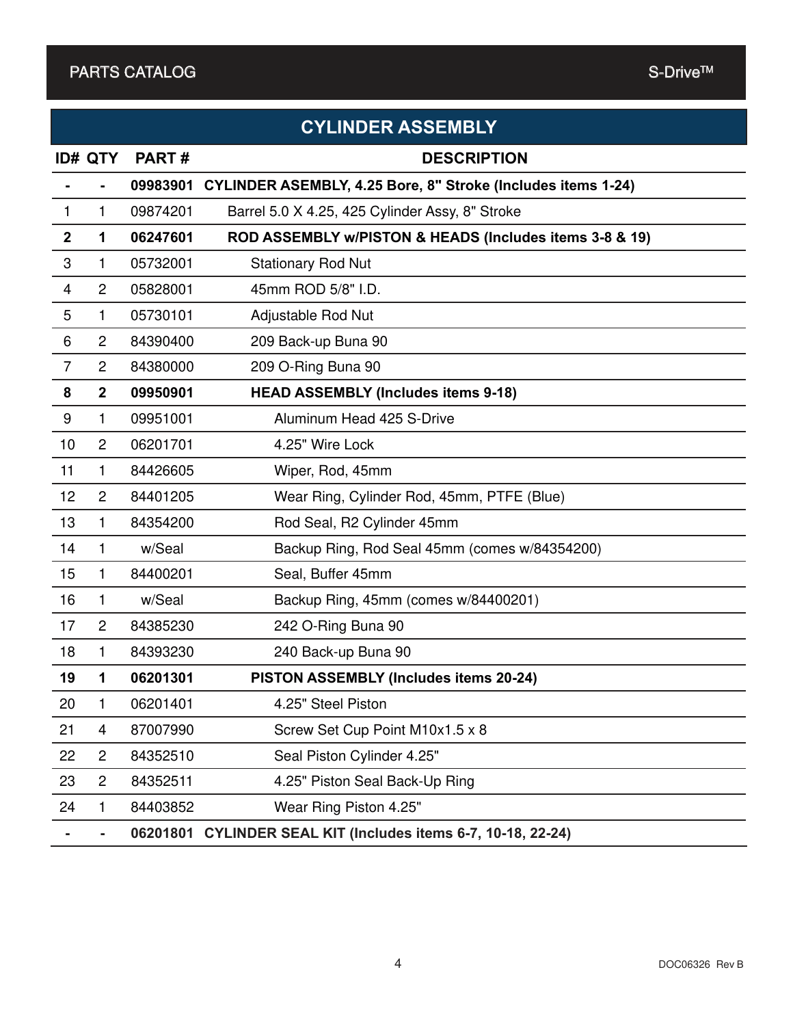|                         |                |          | <b>CYLINDER ASSEMBLY</b>                                      |
|-------------------------|----------------|----------|---------------------------------------------------------------|
|                         | <b>ID# QTY</b> | PART#    | <b>DESCRIPTION</b>                                            |
|                         |                | 09983901 | CYLINDER ASEMBLY, 4.25 Bore, 8" Stroke (Includes items 1-24)  |
| $\mathbf{1}$            | $\mathbf{1}$   | 09874201 | Barrel 5.0 X 4.25, 425 Cylinder Assy, 8" Stroke               |
| $\mathbf{2}$            | 1              | 06247601 | ROD ASSEMBLY w/PISTON & HEADS (Includes items 3-8 & 19)       |
| 3                       | 1              | 05732001 | <b>Stationary Rod Nut</b>                                     |
| $\overline{\mathbf{4}}$ | $\overline{2}$ | 05828001 | 45mm ROD 5/8" I.D.                                            |
| 5                       | 1              | 05730101 | Adjustable Rod Nut                                            |
| 6                       | $\overline{2}$ | 84390400 | 209 Back-up Buna 90                                           |
| $\overline{7}$          | $\overline{2}$ | 84380000 | 209 O-Ring Buna 90                                            |
| 8                       | $\overline{2}$ | 09950901 | <b>HEAD ASSEMBLY (Includes items 9-18)</b>                    |
| 9                       | 1              | 09951001 | Aluminum Head 425 S-Drive                                     |
| 10                      | $\overline{2}$ | 06201701 | 4.25" Wire Lock                                               |
| 11                      | 1              | 84426605 | Wiper, Rod, 45mm                                              |
| 12                      | $\overline{2}$ | 84401205 | Wear Ring, Cylinder Rod, 45mm, PTFE (Blue)                    |
| 13                      | $\mathbf{1}$   | 84354200 | Rod Seal, R2 Cylinder 45mm                                    |
| 14                      | $\mathbf{1}$   | w/Seal   | Backup Ring, Rod Seal 45mm (comes w/84354200)                 |
| 15                      | 1              | 84400201 | Seal, Buffer 45mm                                             |
| 16                      | 1              | w/Seal   | Backup Ring, 45mm (comes w/84400201)                          |
| 17                      | $\overline{c}$ | 84385230 | 242 O-Ring Buna 90                                            |
| 18                      | 1              | 84393230 | 240 Back-up Buna 90                                           |
| 19                      | 1              | 06201301 | PISTON ASSEMBLY (Includes items 20-24)                        |
| 20                      | 1              | 06201401 | 4.25" Steel Piston                                            |
| 21                      | 4              | 87007990 | Screw Set Cup Point M10x1.5 x 8                               |
| 22                      | $\overline{c}$ | 84352510 | Seal Piston Cylinder 4.25"                                    |
| 23                      | $\overline{c}$ | 84352511 | 4.25" Piston Seal Back-Up Ring                                |
| 24                      | 1              | 84403852 | Wear Ring Piston 4.25"                                        |
|                         |                |          | 06201801 CYLINDER SEAL KIT (Includes items 6-7, 10-18, 22-24) |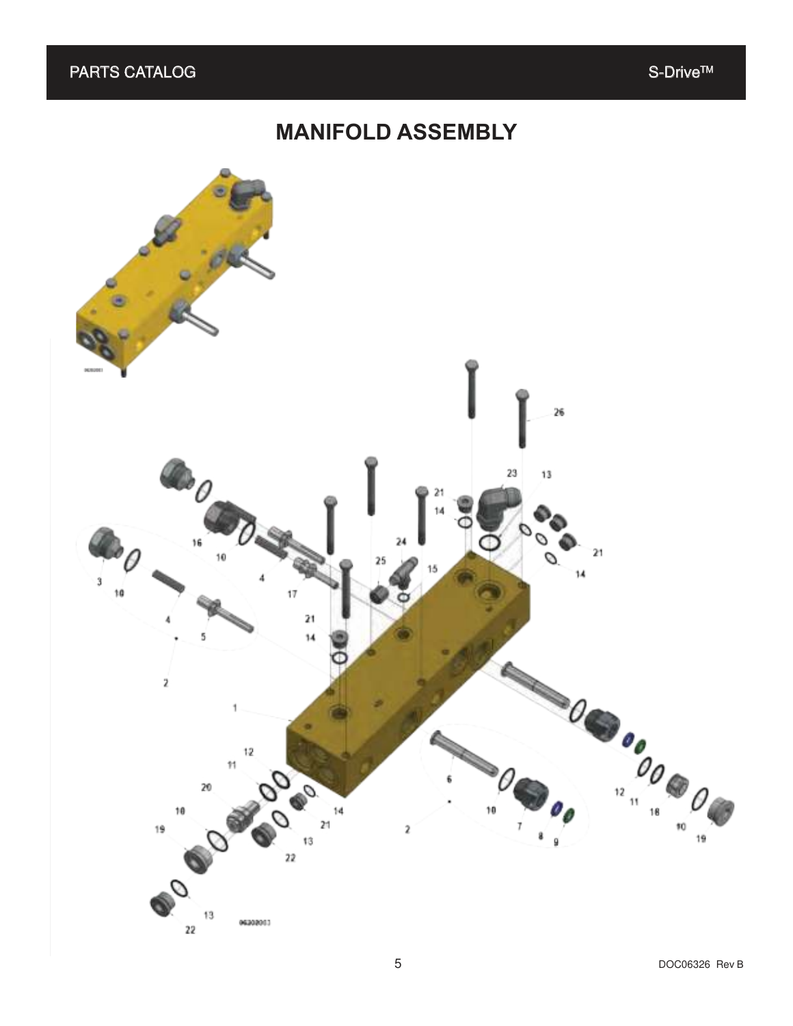### **MANIFOLD ASSEMBLY**

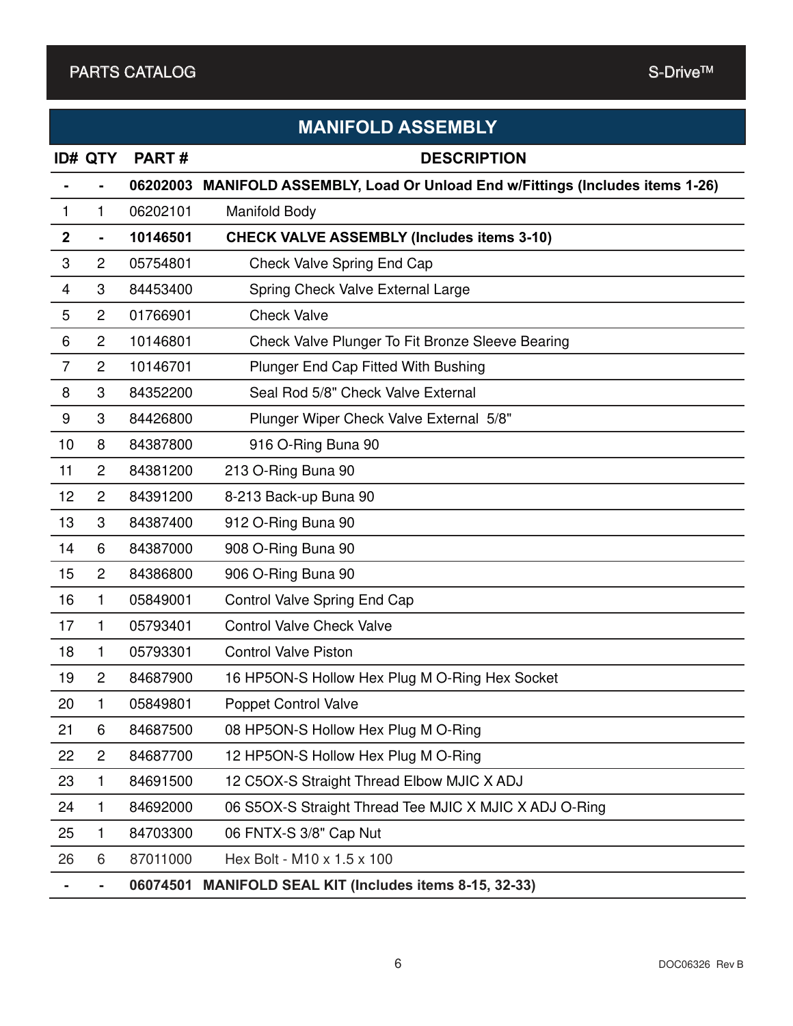|                  | <b>MANIFOLD ASSEMBLY</b> |          |                                                                               |  |  |  |  |
|------------------|--------------------------|----------|-------------------------------------------------------------------------------|--|--|--|--|
|                  | <b>ID# QTY</b>           | PART#    | <b>DESCRIPTION</b>                                                            |  |  |  |  |
|                  |                          | 06202003 | <b>MANIFOLD ASSEMBLY, Load Or Unload End w/Fittings (Includes items 1-26)</b> |  |  |  |  |
| 1                | 1                        | 06202101 | <b>Manifold Body</b>                                                          |  |  |  |  |
| $\boldsymbol{2}$ | $\blacksquare$           | 10146501 | <b>CHECK VALVE ASSEMBLY (Includes items 3-10)</b>                             |  |  |  |  |
| 3                | $\overline{2}$           | 05754801 | Check Valve Spring End Cap                                                    |  |  |  |  |
| $\overline{4}$   | 3                        | 84453400 | Spring Check Valve External Large                                             |  |  |  |  |
| 5                | $\overline{2}$           | 01766901 | <b>Check Valve</b>                                                            |  |  |  |  |
| 6                | $\overline{c}$           | 10146801 | Check Valve Plunger To Fit Bronze Sleeve Bearing                              |  |  |  |  |
| $\overline{7}$   | $\overline{2}$           | 10146701 | Plunger End Cap Fitted With Bushing                                           |  |  |  |  |
| 8                | 3                        | 84352200 | Seal Rod 5/8" Check Valve External                                            |  |  |  |  |
| 9                | 3                        | 84426800 | Plunger Wiper Check Valve External 5/8"                                       |  |  |  |  |
| 10               | 8                        | 84387800 | 916 O-Ring Buna 90                                                            |  |  |  |  |
| 11               | $\overline{2}$           | 84381200 | 213 O-Ring Buna 90                                                            |  |  |  |  |
| 12               | $\overline{c}$           | 84391200 | 8-213 Back-up Buna 90                                                         |  |  |  |  |
| 13               | 3                        | 84387400 | 912 O-Ring Buna 90                                                            |  |  |  |  |
| 14               | 6                        | 84387000 | 908 O-Ring Buna 90                                                            |  |  |  |  |
| 15               | $\overline{c}$           | 84386800 | 906 O-Ring Buna 90                                                            |  |  |  |  |
| 16               | 1                        | 05849001 | Control Valve Spring End Cap                                                  |  |  |  |  |
| 17               | 1                        | 05793401 | <b>Control Valve Check Valve</b>                                              |  |  |  |  |
| 18               | 1                        | 05793301 | <b>Control Valve Piston</b>                                                   |  |  |  |  |
| 19               | $\overline{2}$           | 84687900 | 16 HP5ON-S Hollow Hex Plug M O-Ring Hex Socket                                |  |  |  |  |
| 20               | 1                        | 05849801 | Poppet Control Valve                                                          |  |  |  |  |
| 21               | 6                        | 84687500 | 08 HP5ON-S Hollow Hex Plug M O-Ring                                           |  |  |  |  |
| 22               | $\overline{c}$           | 84687700 | 12 HP5ON-S Hollow Hex Plug M O-Ring                                           |  |  |  |  |
| 23               | 1                        | 84691500 | 12 C5OX-S Straight Thread Elbow MJIC X ADJ                                    |  |  |  |  |
| 24               | 1                        | 84692000 | 06 S5OX-S Straight Thread Tee MJIC X MJIC X ADJ O-Ring                        |  |  |  |  |
| 25               | 1                        | 84703300 | 06 FNTX-S 3/8" Cap Nut                                                        |  |  |  |  |
| 26               | 6                        | 87011000 | Hex Bolt - M10 x 1.5 x 100                                                    |  |  |  |  |
|                  |                          | 06074501 | <b>MANIFOLD SEAL KIT (Includes items 8-15, 32-33)</b>                         |  |  |  |  |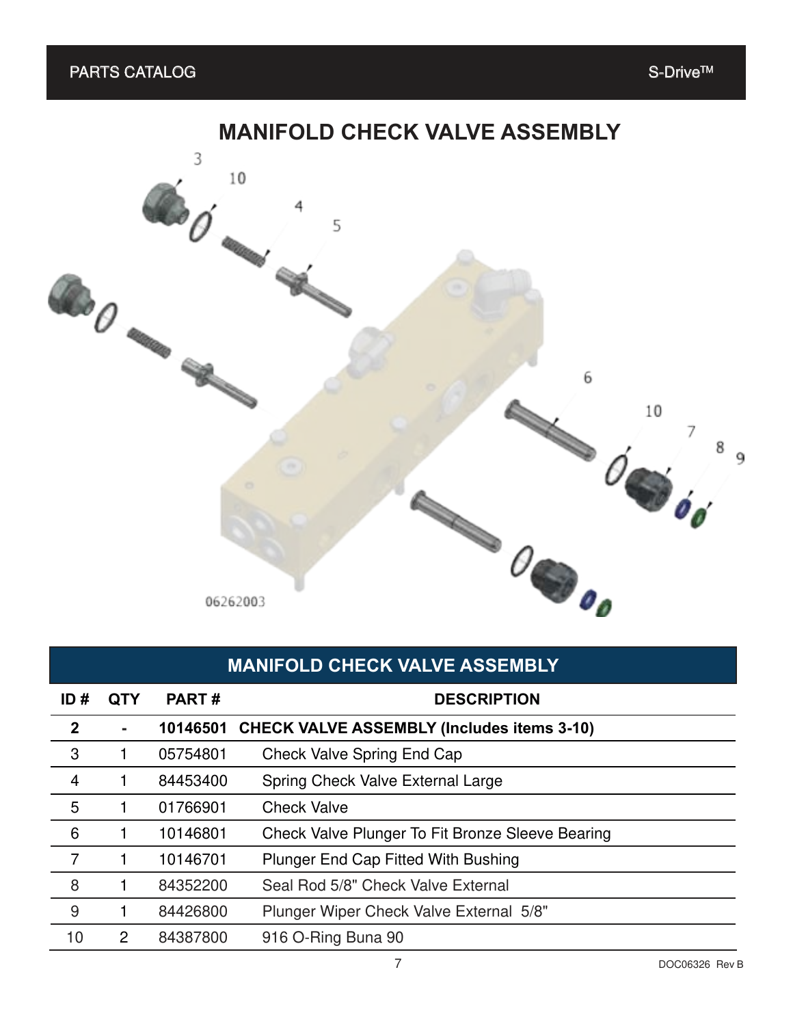## **MANIFOLD CHECK VALVE ASSEMBLY** 3 10 **BO** 5 **COLOREDO** 6 10 7  $\frac{1}{100}$ 8 9 **Septembre**  $\theta_{\bullet}$ 06262003

|                | <b>MANIFOLD CHECK VALVE ASSEMBLY</b> |              |                                                   |  |  |  |
|----------------|--------------------------------------|--------------|---------------------------------------------------|--|--|--|
| ID#            | <b>QTY</b>                           | <b>PART#</b> | <b>DESCRIPTION</b>                                |  |  |  |
| $\mathbf{2}$   | $\blacksquare$                       | 10146501     | <b>CHECK VALVE ASSEMBLY (Includes items 3-10)</b> |  |  |  |
| 3              |                                      | 05754801     | <b>Check Valve Spring End Cap</b>                 |  |  |  |
| $\overline{4}$ |                                      | 84453400     | Spring Check Valve External Large                 |  |  |  |
| 5              |                                      | 01766901     | <b>Check Valve</b>                                |  |  |  |
| 6              |                                      | 10146801     | Check Valve Plunger To Fit Bronze Sleeve Bearing  |  |  |  |
| $\overline{7}$ |                                      | 10146701     | <b>Plunger End Cap Fitted With Bushing</b>        |  |  |  |
| 8              |                                      | 84352200     | Seal Rod 5/8" Check Valve External                |  |  |  |
| 9              |                                      | 84426800     | Plunger Wiper Check Valve External 5/8"           |  |  |  |
| 10             | 2                                    | 84387800     | 916 O-Ring Buna 90                                |  |  |  |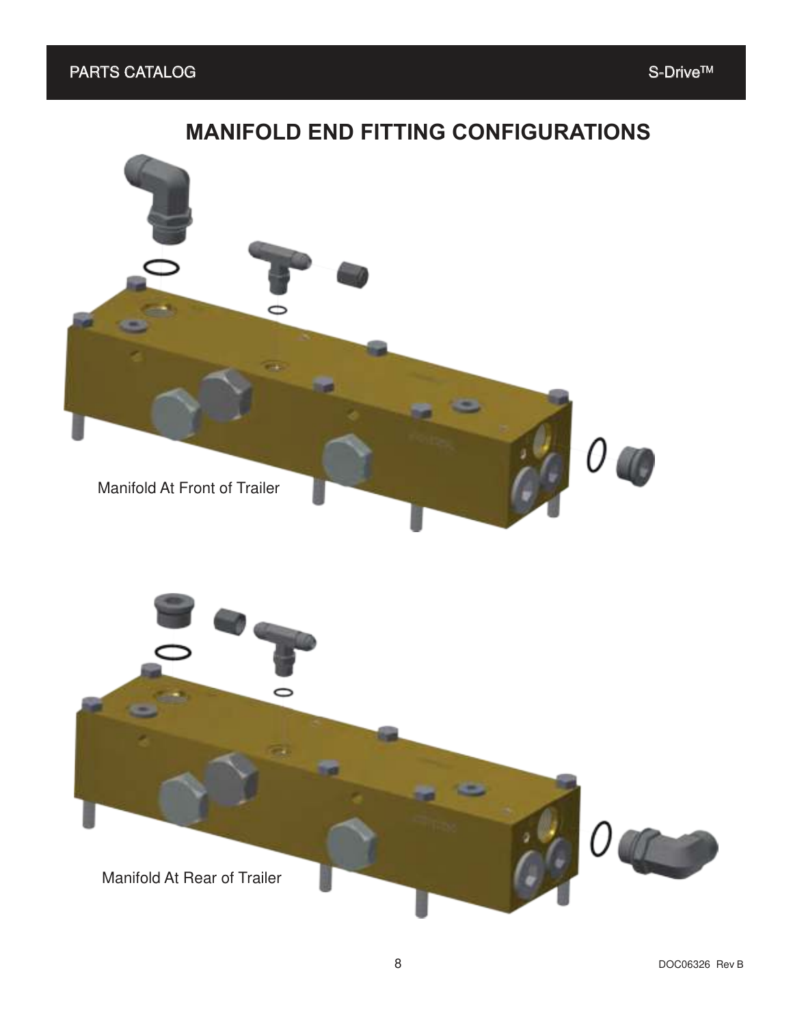### **MANIFOLD END FITTING CONFIGURATIONS**

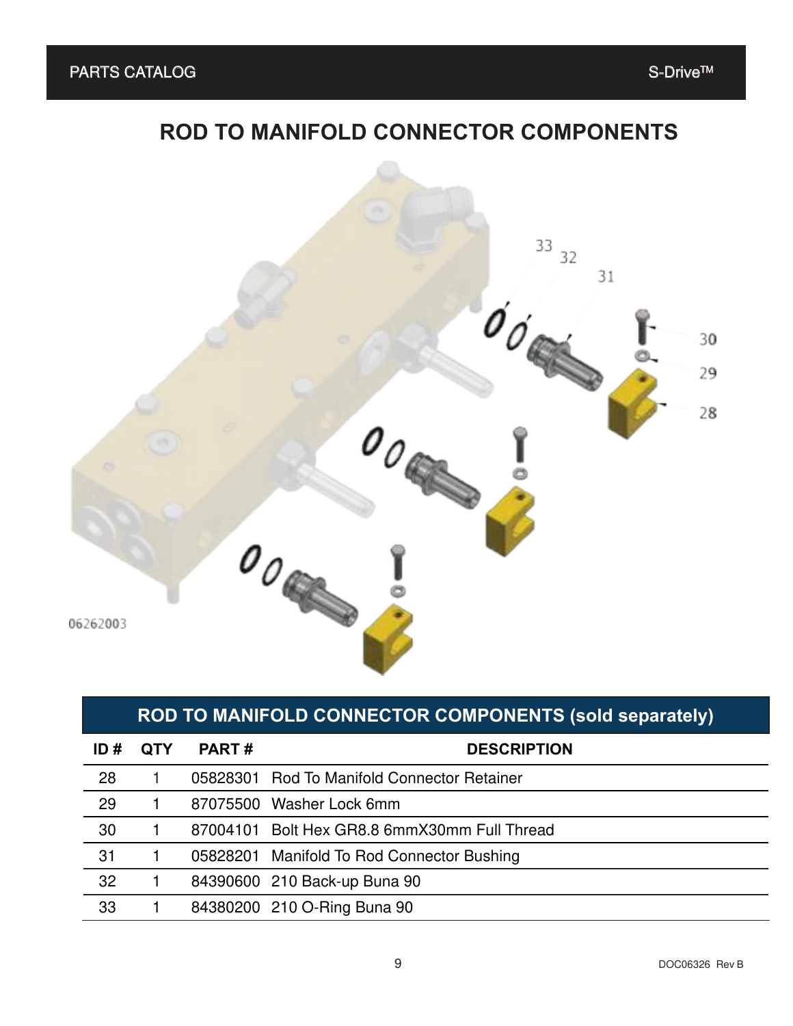## **ROD TO MANIFOLD CONNECTOR COMPONENTS**



#### **ROD TO MANIFOLD CONNECTOR COMPONENTS (sold separately)**

| ID# | <b>QTY</b> | <b>PART#</b> | <b>DESCRIPTION</b>                           |
|-----|------------|--------------|----------------------------------------------|
| 28  |            |              | 05828301 Rod To Manifold Connector Retainer  |
| 29  |            |              | 87075500 Washer Lock 6mm                     |
| 30  |            |              | 87004101 Bolt Hex GR8.8 6mmX30mm Full Thread |
| 31  |            |              | 05828201 Manifold To Rod Connector Bushing   |
| 32  |            |              | 84390600 210 Back-up Buna 90                 |
| 33  |            |              | 84380200 210 O-Ring Buna 90                  |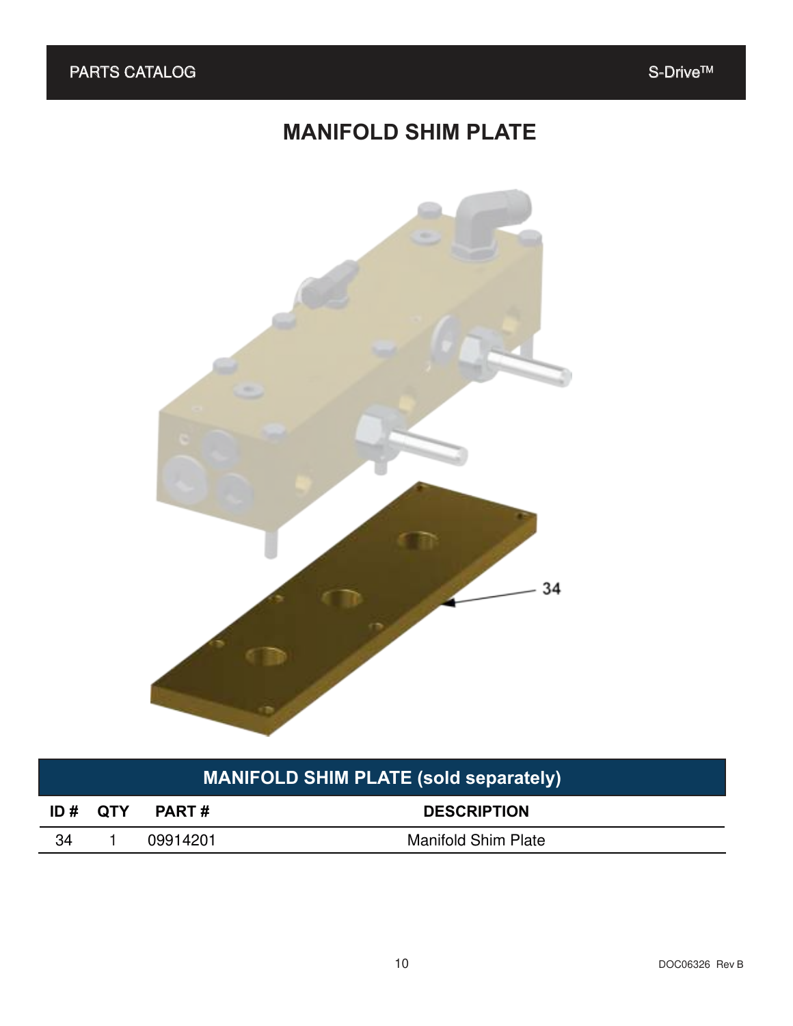## **MANIFOLD SHIM PLATE**



## **MANIFOLD SHIM PLATE (sold separately)**

| ID# QTY | <b>PART#</b> | <b>DESCRIPTION</b>         |
|---------|--------------|----------------------------|
|         | 09914201     | <b>Manifold Shim Plate</b> |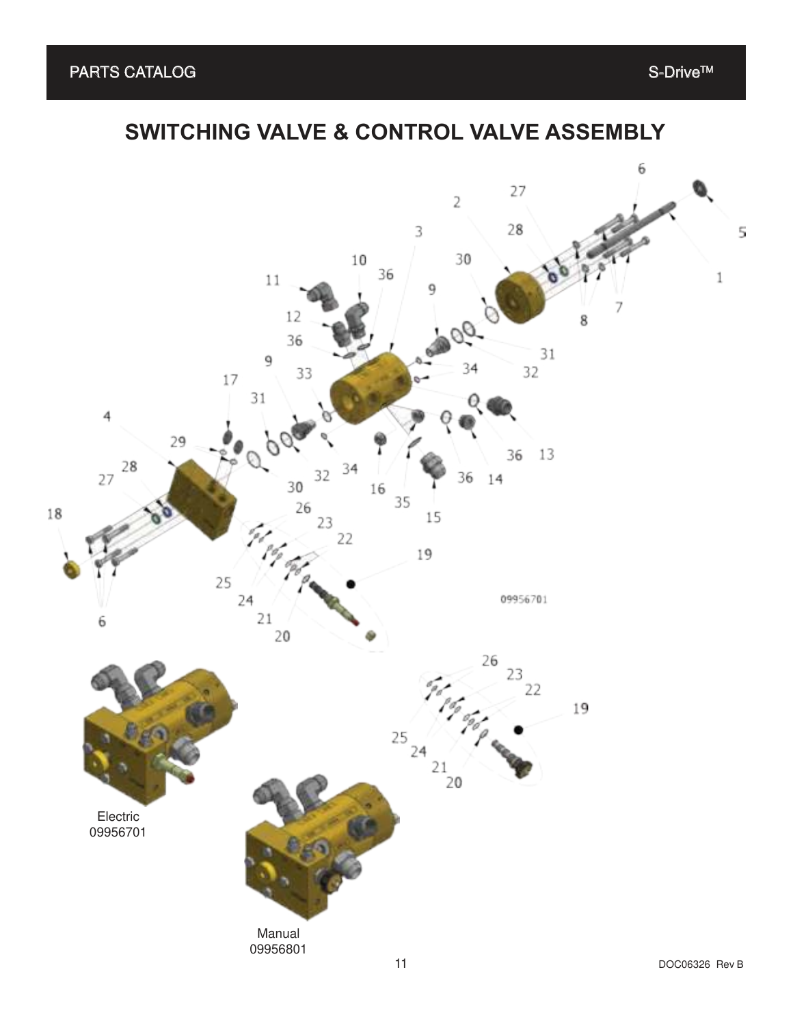## **SWITCHING VALVE & CONTROL VALVE ASSEMBLY**

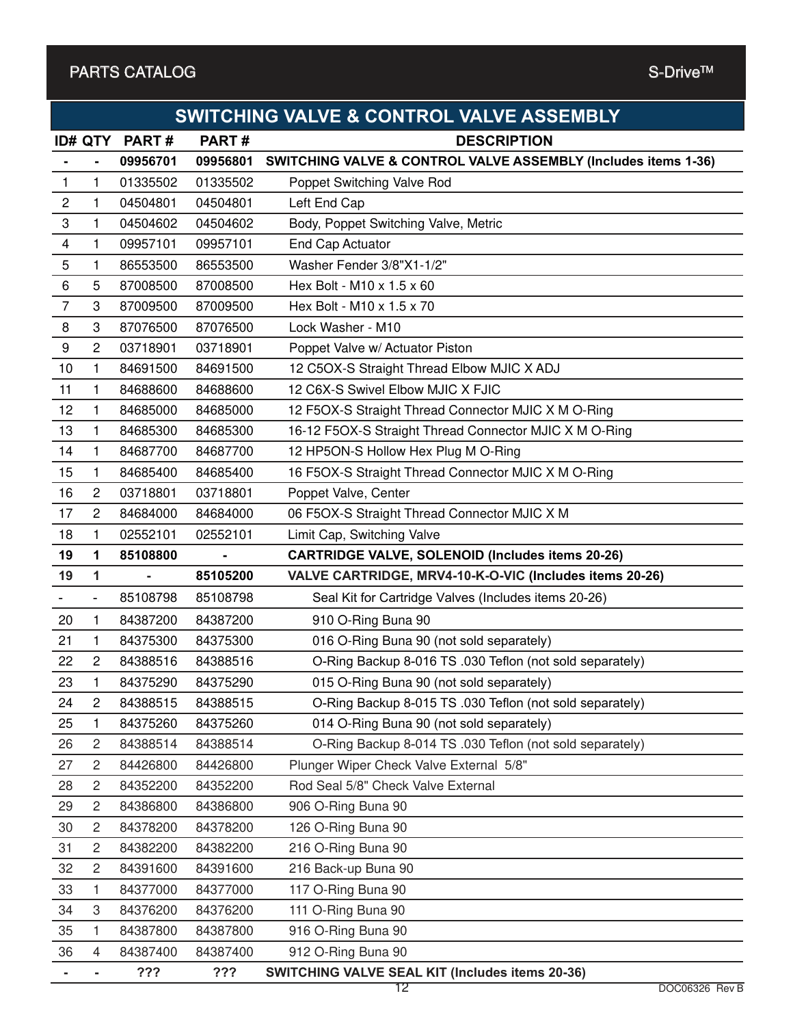#### PARTS CATALOG S-Drive™

|    | <b>SWITCHING VALVE &amp; CONTROL VALVE ASSEMBLY</b> |                |          |                                                                           |  |  |  |
|----|-----------------------------------------------------|----------------|----------|---------------------------------------------------------------------------|--|--|--|
|    | <b>ID# QTY</b>                                      | PART#          | PART#    | <b>DESCRIPTION</b>                                                        |  |  |  |
|    |                                                     | 09956701       | 09956801 | <b>SWITCHING VALVE &amp; CONTROL VALVE ASSEMBLY (Includes items 1-36)</b> |  |  |  |
| 1  | 1                                                   | 01335502       | 01335502 | Poppet Switching Valve Rod                                                |  |  |  |
| 2  | $\mathbf{1}$                                        | 04504801       | 04504801 | Left End Cap                                                              |  |  |  |
| 3  | 1                                                   | 04504602       | 04504602 | Body, Poppet Switching Valve, Metric                                      |  |  |  |
| 4  | 1                                                   | 09957101       | 09957101 | End Cap Actuator                                                          |  |  |  |
| 5  | 1                                                   | 86553500       | 86553500 | Washer Fender 3/8"X1-1/2"                                                 |  |  |  |
| 6  | 5                                                   | 87008500       | 87008500 | Hex Bolt - M10 x 1.5 x 60                                                 |  |  |  |
| 7  | 3                                                   | 87009500       | 87009500 | Hex Bolt - M10 x 1.5 x 70                                                 |  |  |  |
| 8  | 3                                                   | 87076500       | 87076500 | Lock Washer - M10                                                         |  |  |  |
| 9  | $\overline{2}$                                      | 03718901       | 03718901 | Poppet Valve w/ Actuator Piston                                           |  |  |  |
| 10 | 1                                                   | 84691500       | 84691500 | 12 C5OX-S Straight Thread Elbow MJIC X ADJ                                |  |  |  |
| 11 | $\mathbf{1}$                                        | 84688600       | 84688600 | 12 C6X-S Swivel Elbow MJIC X FJIC                                         |  |  |  |
| 12 | 1                                                   | 84685000       | 84685000 | 12 F5OX-S Straight Thread Connector MJIC X M O-Ring                       |  |  |  |
| 13 | 1.                                                  | 84685300       | 84685300 | 16-12 F5OX-S Straight Thread Connector MJIC X M O-Ring                    |  |  |  |
| 14 | $\mathbf{1}$                                        | 84687700       | 84687700 | 12 HP5ON-S Hollow Hex Plug M O-Ring                                       |  |  |  |
| 15 | 1.                                                  | 84685400       | 84685400 | 16 F5OX-S Straight Thread Connector MJIC X M O-Ring                       |  |  |  |
| 16 | $\mathbf{2}$                                        | 03718801       | 03718801 | Poppet Valve, Center                                                      |  |  |  |
| 17 | $\overline{2}$                                      | 84684000       | 84684000 | 06 F5OX-S Straight Thread Connector MJIC X M                              |  |  |  |
| 18 | 1                                                   | 02552101       | 02552101 | Limit Cap, Switching Valve                                                |  |  |  |
| 19 | 1                                                   | 85108800       |          | <b>CARTRIDGE VALVE, SOLENOID (Includes items 20-26)</b>                   |  |  |  |
| 19 | $\mathbf 1$                                         | $\blacksquare$ | 85105200 | VALVE CARTRIDGE, MRV4-10-K-O-VIC (Includes items 20-26)                   |  |  |  |
|    | $\overline{\phantom{0}}$                            | 85108798       | 85108798 | Seal Kit for Cartridge Valves (Includes items 20-26)                      |  |  |  |
| 20 | 1                                                   | 84387200       | 84387200 | 910 O-Ring Buna 90                                                        |  |  |  |
| 21 | 1                                                   | 84375300       | 84375300 | 016 O-Ring Buna 90 (not sold separately)                                  |  |  |  |
| 22 | $\overline{2}$                                      |                |          |                                                                           |  |  |  |
|    |                                                     | 84388516       | 84388516 | O-Ring Backup 8-016 TS .030 Teflon (not sold separately)                  |  |  |  |
| 23 | 1.                                                  | 84375290       | 84375290 | 015 O-Ring Buna 90 (not sold separately)                                  |  |  |  |
| 24 | 2                                                   | 84388515       | 84388515 | O-Ring Backup 8-015 TS .030 Teflon (not sold separately)                  |  |  |  |
| 25 | 1                                                   | 84375260       | 84375260 | 014 O-Ring Buna 90 (not sold separately)                                  |  |  |  |
| 26 | 2                                                   | 84388514       | 84388514 | O-Ring Backup 8-014 TS .030 Teflon (not sold separately)                  |  |  |  |
| 27 | 2                                                   | 84426800       | 84426800 | Plunger Wiper Check Valve External 5/8"                                   |  |  |  |
| 28 | 2                                                   | 84352200       | 84352200 | Rod Seal 5/8" Check Valve External                                        |  |  |  |
| 29 | 2                                                   | 84386800       | 84386800 | 906 O-Ring Buna 90                                                        |  |  |  |
| 30 | 2                                                   | 84378200       | 84378200 | 126 O-Ring Buna 90                                                        |  |  |  |
| 31 | 2                                                   | 84382200       | 84382200 | 216 O-Ring Buna 90                                                        |  |  |  |
| 32 | 2                                                   | 84391600       | 84391600 | 216 Back-up Buna 90                                                       |  |  |  |
| 33 | 1                                                   | 84377000       | 84377000 | 117 O-Ring Buna 90                                                        |  |  |  |
| 34 | 3                                                   | 84376200       | 84376200 | 111 O-Ring Buna 90                                                        |  |  |  |
| 35 | 1.                                                  | 84387800       | 84387800 | 916 O-Ring Buna 90                                                        |  |  |  |
| 36 | 4                                                   | 84387400       | 84387400 | 912 O-Ring Buna 90                                                        |  |  |  |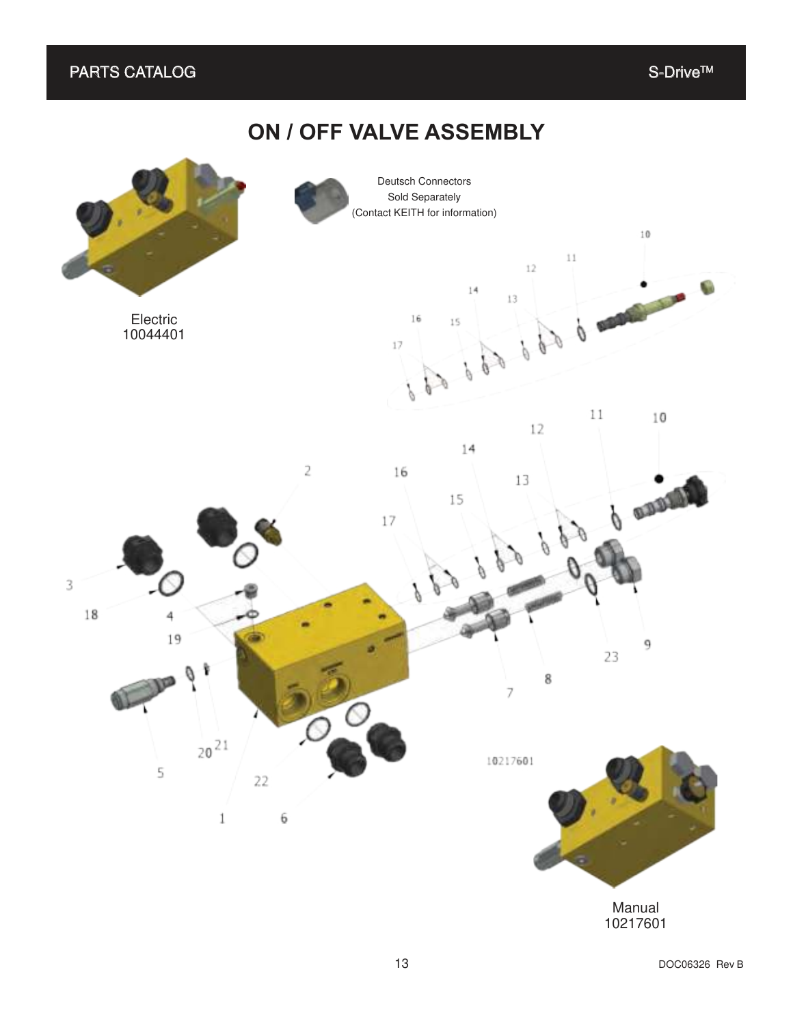#### $\mathsf{PARTS}\text{ CATALOG} \begin{equation} \begin{equation} \mathsf{S}\text{-}\mathsf{Orive}^{\mathsf{TM}} \end{equation} \end{equation}$

### **ON / OFF VALVE ASSEMBLY**



13 DOC06326 Rev B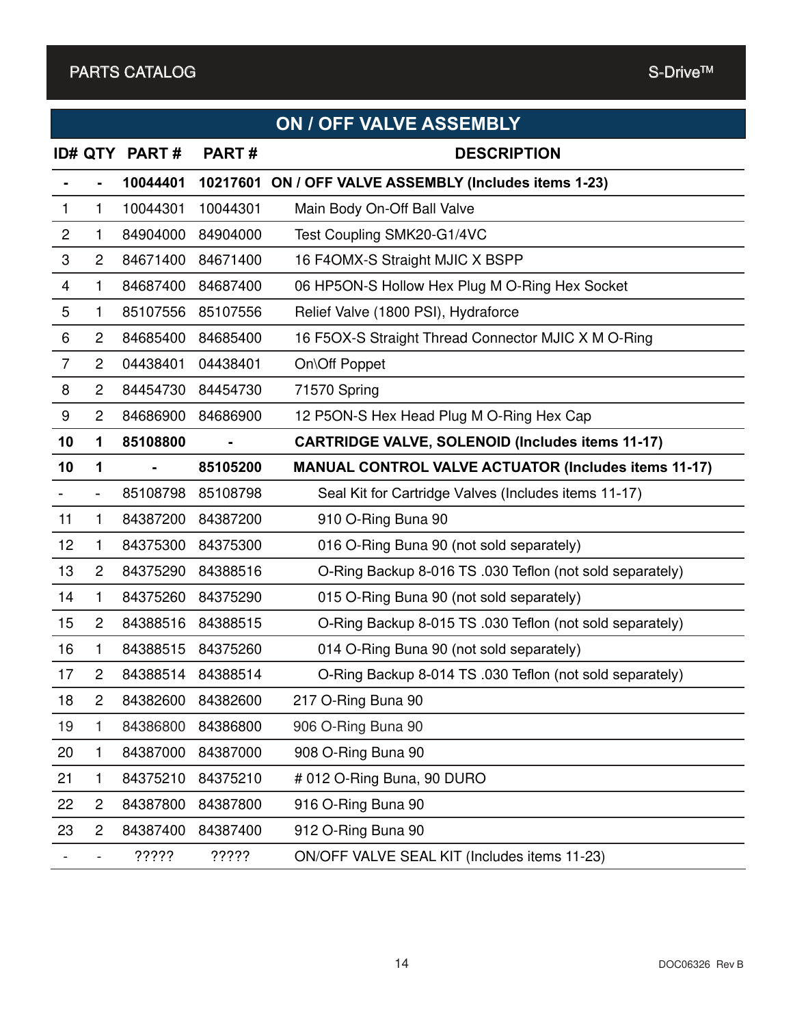|                |                |              |                | <b>ON / OFF VALVE ASSEMBLY</b>                              |
|----------------|----------------|--------------|----------------|-------------------------------------------------------------|
|                | <b>ID# QTY</b> | <b>PART#</b> | PART#          | <b>DESCRIPTION</b>                                          |
|                |                | 10044401     | 10217601       | ON / OFF VALVE ASSEMBLY (Includes items 1-23)               |
| 1              | 1              | 10044301     | 10044301       | Main Body On-Off Ball Valve                                 |
| $\overline{c}$ | 1              | 84904000     | 84904000       | Test Coupling SMK20-G1/4VC                                  |
| 3              | 2              | 84671400     | 84671400       | 16 F4OMX-S Straight MJIC X BSPP                             |
| 4              | 1.             | 84687400     | 84687400       | 06 HP5ON-S Hollow Hex Plug M O-Ring Hex Socket              |
| 5              | 1              | 85107556     | 85107556       | Relief Valve (1800 PSI), Hydraforce                         |
| 6              | 2              | 84685400     | 84685400       | 16 F5OX-S Straight Thread Connector MJIC X M O-Ring         |
| $\overline{7}$ | $\overline{2}$ | 04438401     | 04438401       | On\Off Poppet                                               |
| 8              | $\overline{2}$ | 84454730     | 84454730       | 71570 Spring                                                |
| 9              | 2              | 84686900     | 84686900       | 12 P5ON-S Hex Head Plug M O-Ring Hex Cap                    |
| 10             | 1              | 85108800     | $\blacksquare$ | <b>CARTRIDGE VALVE, SOLENOID (Includes items 11-17)</b>     |
| 10             | 1              |              | 85105200       | <b>MANUAL CONTROL VALVE ACTUATOR (Includes items 11-17)</b> |
|                | -              | 85108798     | 85108798       | Seal Kit for Cartridge Valves (Includes items 11-17)        |
| 11             | 1              | 84387200     | 84387200       | 910 O-Ring Buna 90                                          |
| 12             | 1              | 84375300     | 84375300       | 016 O-Ring Buna 90 (not sold separately)                    |
| 13             | $\overline{2}$ | 84375290     | 84388516       | O-Ring Backup 8-016 TS .030 Teflon (not sold separately)    |
| 14             | 1.             | 84375260     | 84375290       | 015 O-Ring Buna 90 (not sold separately)                    |
| 15             | $\overline{2}$ | 84388516     | 84388515       | O-Ring Backup 8-015 TS .030 Teflon (not sold separately)    |
| 16             | 1.             | 84388515     | 84375260       | 014 O-Ring Buna 90 (not sold separately)                    |
| 17             | 2              | 84388514     | 84388514       | O-Ring Backup 8-014 TS .030 Teflon (not sold separately)    |
| 18             | $\overline{c}$ | 84382600     | 84382600       | 217 O-Ring Buna 90                                          |
| 19             | 1              | 84386800     | 84386800       | 906 O-Ring Buna 90                                          |
| 20             | 1              | 84387000     | 84387000       | 908 O-Ring Buna 90                                          |
| 21             | 1              | 84375210     | 84375210       | # 012 O-Ring Buna, 90 DURO                                  |
| 22             | $\overline{c}$ | 84387800     | 84387800       | 916 O-Ring Buna 90                                          |
| 23             | $\overline{2}$ | 84387400     | 84387400       | 912 O-Ring Buna 90                                          |
|                |                | ?????        | ?????          | ON/OFF VALVE SEAL KIT (Includes items 11-23)                |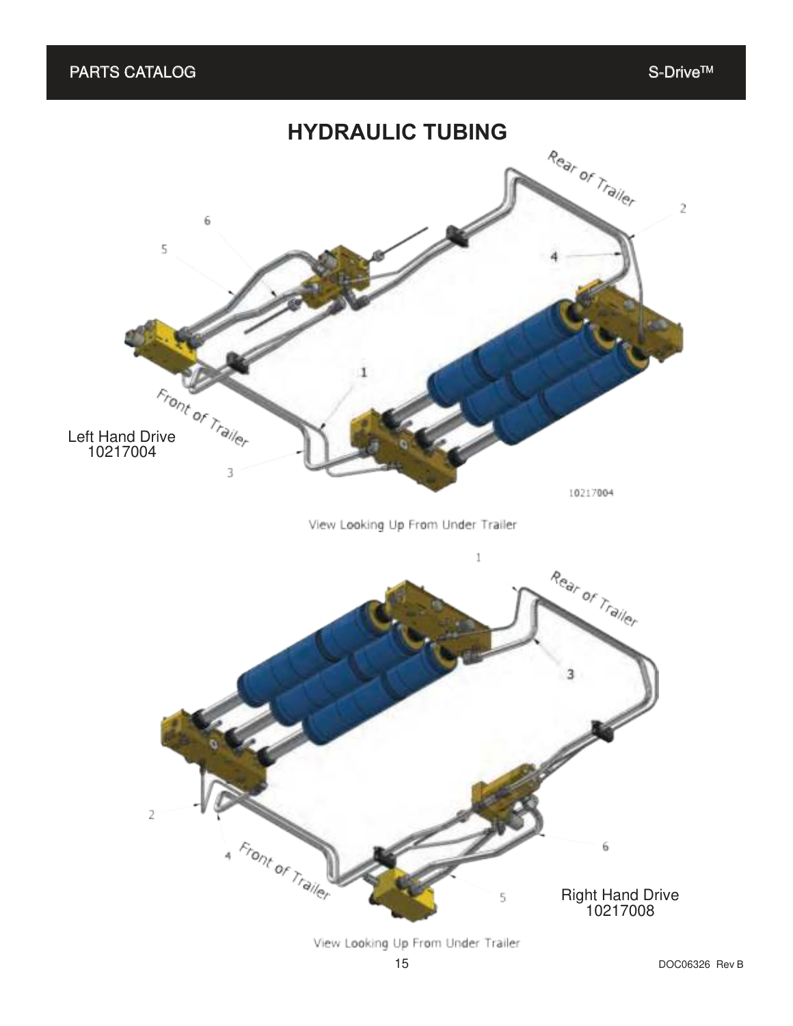

View Looking Up From Under Trailer